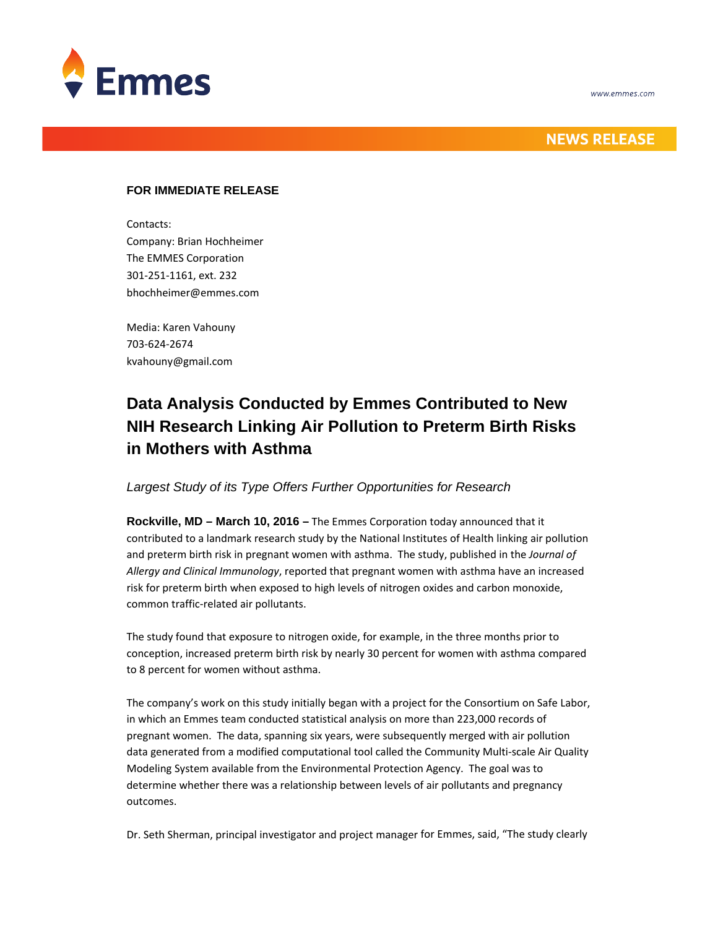



## **NEWS RELEASE**

### **FOR IMMEDIATE RELEASE**

Contacts:

Company: Brian Hochheimer The EMMES Corporation 301‐251‐1161, ext. 232 bhochheimer@emmes.com

Media: Karen Vahouny 703‐624‐2674 kvahouny@gmail.com

# **Data Analysis Conducted by Emmes Contributed to New NIH Research Linking Air Pollution to Preterm Birth Risks in Mothers with Asthma**

## *Largest Study of its Type Offers Further Opportunities for Research*

**Rockville, MD – March 10, 2016 –** The Emmes Corporation today announced that it contributed to a landmark research study by the National Institutes of Health linking air pollution and preterm birth risk in pregnant women with asthma. The study, published in the *Journal of Allergy and Clinical Immunology*, reported that pregnant women with asthma have an increased risk for preterm birth when exposed to high levels of nitrogen oxides and carbon monoxide, common traffic‐related air pollutants.

The study found that exposure to nitrogen oxide, for example, in the three months prior to conception, increased preterm birth risk by nearly 30 percent for women with asthma compared to 8 percent for women without asthma.

The company's work on this study initially began with a project for the Consortium on Safe Labor, in which an Emmes team conducted statistical analysis on more than 223,000 records of pregnant women. The data, spanning six years, were subsequently merged with air pollution data generated from a modified computational tool called the Community Multi‐scale Air Quality Modeling System available from the Environmental Protection Agency. The goal was to determine whether there was a relationship between levels of air pollutants and pregnancy outcomes.

Dr. Seth Sherman, principal investigator and project manager for Emmes, said, "The study clearly